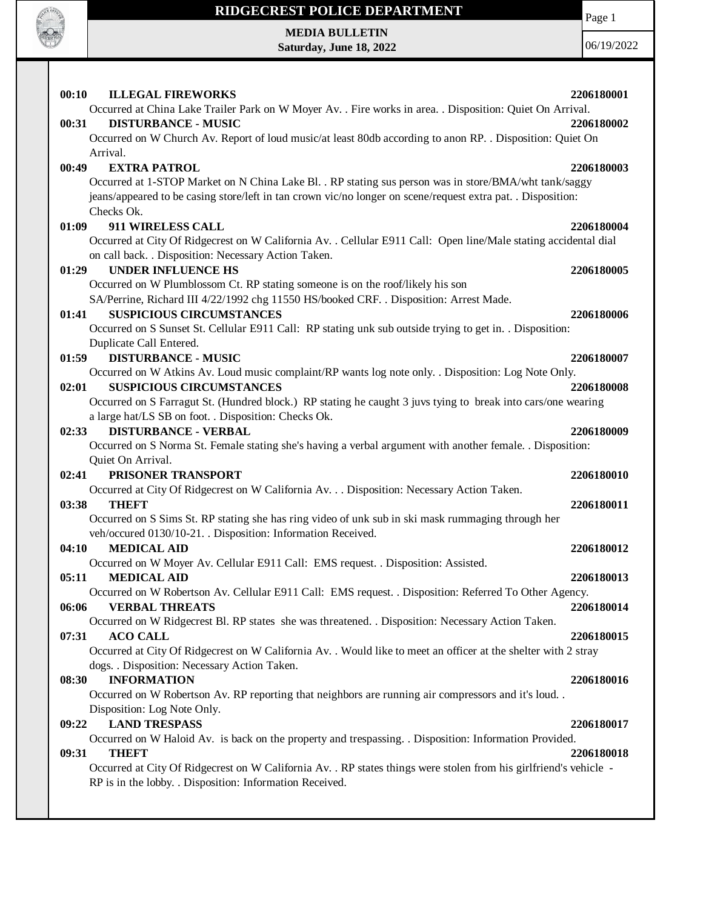

# **RIDGECREST POLICE DEPARTMENT MEDIA BULLETIN**

**Saturday, June 18, 2022**

Page 1

06/19/2022

| 00:10<br><b>ILLEGAL FIREWORKS</b>                                                                                      | 2206180001 |
|------------------------------------------------------------------------------------------------------------------------|------------|
| Occurred at China Lake Trailer Park on W Moyer Av. . Fire works in area. . Disposition: Quiet On Arrival.              |            |
| <b>DISTURBANCE - MUSIC</b><br>00:31                                                                                    | 2206180002 |
| Occurred on W Church Av. Report of loud music/at least 80db according to anon RP. . Disposition: Quiet On              |            |
| Arrival.                                                                                                               |            |
| 00:49<br><b>EXTRA PATROL</b>                                                                                           | 2206180003 |
| Occurred at 1-STOP Market on N China Lake Bl. . RP stating sus person was in store/BMA/wht tank/saggy                  |            |
| jeans/appeared to be casing store/left in tan crown vic/no longer on scene/request extra pat. . Disposition:           |            |
| Checks Ok.                                                                                                             |            |
| 01:09<br>911 WIRELESS CALL                                                                                             | 2206180004 |
| Occurred at City Of Ridgecrest on W California Av. . Cellular E911 Call: Open line/Male stating accidental dial        |            |
| on call back. . Disposition: Necessary Action Taken.                                                                   |            |
| <b>UNDER INFLUENCE HS</b><br>01:29                                                                                     | 2206180005 |
| Occurred on W Plumblossom Ct. RP stating someone is on the roof/likely his son                                         |            |
| SA/Perrine, Richard III 4/22/1992 chg 11550 HS/booked CRF. . Disposition: Arrest Made.                                 |            |
| <b>SUSPICIOUS CIRCUMSTANCES</b><br>01:41                                                                               | 2206180006 |
| Occurred on S Sunset St. Cellular E911 Call: RP stating unk sub outside trying to get in. . Disposition:               |            |
| Duplicate Call Entered.                                                                                                |            |
| <b>DISTURBANCE - MUSIC</b><br>01:59                                                                                    | 2206180007 |
| Occurred on W Atkins Av. Loud music complaint/RP wants log note only. . Disposition: Log Note Only.                    |            |
| <b>SUSPICIOUS CIRCUMSTANCES</b><br>02:01                                                                               | 2206180008 |
| Occurred on S Farragut St. (Hundred block.) RP stating he caught 3 juvs tying to break into cars/one wearing           |            |
| a large hat/LS SB on foot. . Disposition: Checks Ok.                                                                   |            |
| <b>DISTURBANCE - VERBAL</b><br>02:33                                                                                   | 2206180009 |
| Occurred on S Norma St. Female stating she's having a verbal argument with another female. . Disposition:              |            |
| Quiet On Arrival.                                                                                                      |            |
| PRISONER TRANSPORT<br>02:41                                                                                            | 2206180010 |
| Occurred at City Of Ridgecrest on W California Av. Disposition: Necessary Action Taken.                                |            |
| <b>THEFT</b><br>03:38                                                                                                  | 2206180011 |
| Occurred on S Sims St. RP stating she has ring video of unk sub in ski mask rummaging through her                      |            |
| veh/occured 0130/10-21. . Disposition: Information Received.                                                           |            |
| <b>MEDICAL AID</b><br>04:10                                                                                            | 2206180012 |
| Occurred on W Moyer Av. Cellular E911 Call: EMS request. . Disposition: Assisted.                                      |            |
| <b>MEDICAL AID</b><br>05:11                                                                                            | 2206180013 |
| Occurred on W Robertson Av. Cellular E911 Call: EMS request. . Disposition: Referred To Other Agency.                  |            |
| 06:06<br><b>VERBAL THREATS</b>                                                                                         | 2206180014 |
| Occurred on W Ridgecrest Bl. RP states she was threatened. . Disposition: Necessary Action Taken.                      |            |
| 07:31<br><b>ACO CALL</b>                                                                                               | 2206180015 |
| Occurred at City Of Ridgecrest on W California Av. . Would like to meet an officer at the shelter with 2 stray         |            |
|                                                                                                                        |            |
| dogs. . Disposition: Necessary Action Taken.<br><b>INFORMATION</b>                                                     | 2206180016 |
| 08:30                                                                                                                  |            |
| Occurred on W Robertson Av. RP reporting that neighbors are running air compressors and it's loud                      |            |
| Disposition: Log Note Only.<br><b>LAND TRESPASS</b>                                                                    |            |
| 09:22                                                                                                                  | 2206180017 |
| Occurred on W Haloid Av. is back on the property and trespassing. . Disposition: Information Provided.<br><b>THEFT</b> | 2206180018 |
| 09:31                                                                                                                  |            |
| Occurred at City Of Ridgecrest on W California Av. . RP states things were stolen from his girlfriend's vehicle -      |            |
| RP is in the lobby. . Disposition: Information Received.                                                               |            |
|                                                                                                                        |            |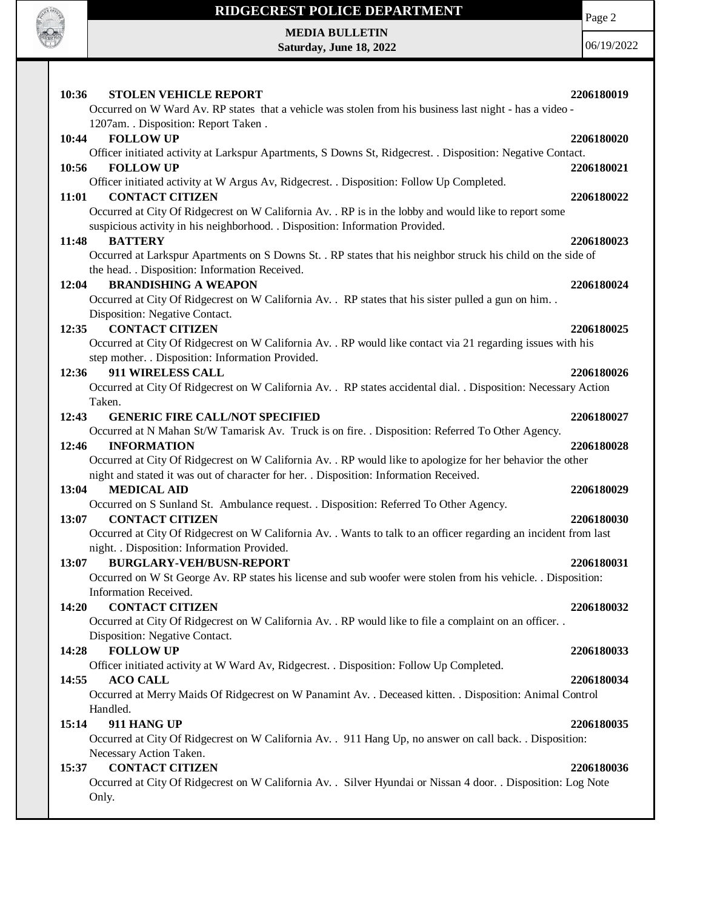

## **RIDGECREST POLICE DEPARTMENT**

Page 2

**MEDIA BULLETIN Saturday, June 18, 2022**

06/19/2022

| 10:36<br><b>STOLEN VEHICLE REPORT</b>                                                                                                     | 2206180019 |
|-------------------------------------------------------------------------------------------------------------------------------------------|------------|
| Occurred on W Ward Av. RP states that a vehicle was stolen from his business last night - has a video -                                   |            |
| 1207am. . Disposition: Report Taken.                                                                                                      |            |
| 10:44<br><b>FOLLOW UP</b>                                                                                                                 | 2206180020 |
| Officer initiated activity at Larkspur Apartments, S Downs St, Ridgecrest. . Disposition: Negative Contact.                               |            |
| <b>FOLLOW UP</b><br>10:56                                                                                                                 | 2206180021 |
| Officer initiated activity at W Argus Av, Ridgecrest. . Disposition: Follow Up Completed.                                                 |            |
| <b>CONTACT CITIZEN</b><br>11:01                                                                                                           | 2206180022 |
| Occurred at City Of Ridgecrest on W California Av. . RP is in the lobby and would like to report some                                     |            |
| suspicious activity in his neighborhood. . Disposition: Information Provided.<br><b>BATTERY</b>                                           |            |
| 11:48<br>Occurred at Larkspur Apartments on S Downs St. . RP states that his neighbor struck his child on the side of                     | 2206180023 |
| the head. . Disposition: Information Received.                                                                                            |            |
| <b>BRANDISHING A WEAPON</b><br>12:04                                                                                                      | 2206180024 |
| Occurred at City Of Ridgecrest on W California Av. . RP states that his sister pulled a gun on him                                        |            |
| Disposition: Negative Contact.                                                                                                            |            |
| <b>CONTACT CITIZEN</b><br>12:35                                                                                                           | 2206180025 |
| Occurred at City Of Ridgecrest on W California Av. . RP would like contact via 21 regarding issues with his                               |            |
| step mother. . Disposition: Information Provided.                                                                                         |            |
| 911 WIRELESS CALL<br>12:36                                                                                                                | 2206180026 |
| Occurred at City Of Ridgecrest on W California Av. . RP states accidental dial. . Disposition: Necessary Action                           |            |
| Taken.                                                                                                                                    |            |
| 12:43<br><b>GENERIC FIRE CALL/NOT SPECIFIED</b>                                                                                           | 2206180027 |
| Occurred at N Mahan St/W Tamarisk Av. Truck is on fire. . Disposition: Referred To Other Agency.<br><b>INFORMATION</b><br>12:46           | 2206180028 |
| Occurred at City Of Ridgecrest on W California Av. . RP would like to apologize for her behavior the other                                |            |
| night and stated it was out of character for her. . Disposition: Information Received.                                                    |            |
| <b>MEDICAL AID</b><br>13:04                                                                                                               | 2206180029 |
| Occurred on S Sunland St. Ambulance request. . Disposition: Referred To Other Agency.                                                     |            |
| 13:07<br><b>CONTACT CITIZEN</b>                                                                                                           | 2206180030 |
| Occurred at City Of Ridgecrest on W California Av. . Wants to talk to an officer regarding an incident from last                          |            |
| night. . Disposition: Information Provided.                                                                                               |            |
| <b>BURGLARY-VEH/BUSN-REPORT</b><br>13:07                                                                                                  | 2206180031 |
| Occurred on W St George Av. RP states his license and sub woofer were stolen from his vehicle. Disposition:                               |            |
| Information Received.                                                                                                                     |            |
| <b>CONTACT CITIZEN</b><br>14:20                                                                                                           | 2206180032 |
| Occurred at City Of Ridgecrest on W California Av. . RP would like to file a complaint on an officer. .<br>Disposition: Negative Contact. |            |
| <b>FOLLOW UP</b><br>14:28                                                                                                                 | 2206180033 |
| Officer initiated activity at W Ward Av, Ridgecrest. . Disposition: Follow Up Completed.                                                  |            |
| <b>ACO CALL</b><br>14:55                                                                                                                  | 2206180034 |
| Occurred at Merry Maids Of Ridgecrest on W Panamint Av. . Deceased kitten. . Disposition: Animal Control                                  |            |
| Handled.                                                                                                                                  |            |
| 15:14<br>911 HANG UP                                                                                                                      | 2206180035 |
| Occurred at City Of Ridgecrest on W California Av. . 911 Hang Up, no answer on call back. . Disposition:                                  |            |
| Necessary Action Taken.                                                                                                                   |            |
| <b>CONTACT CITIZEN</b><br>15:37                                                                                                           | 2206180036 |
| Occurred at City Of Ridgecrest on W California Av. . Silver Hyundai or Nissan 4 door. . Disposition: Log Note                             |            |
| Only.                                                                                                                                     |            |
|                                                                                                                                           |            |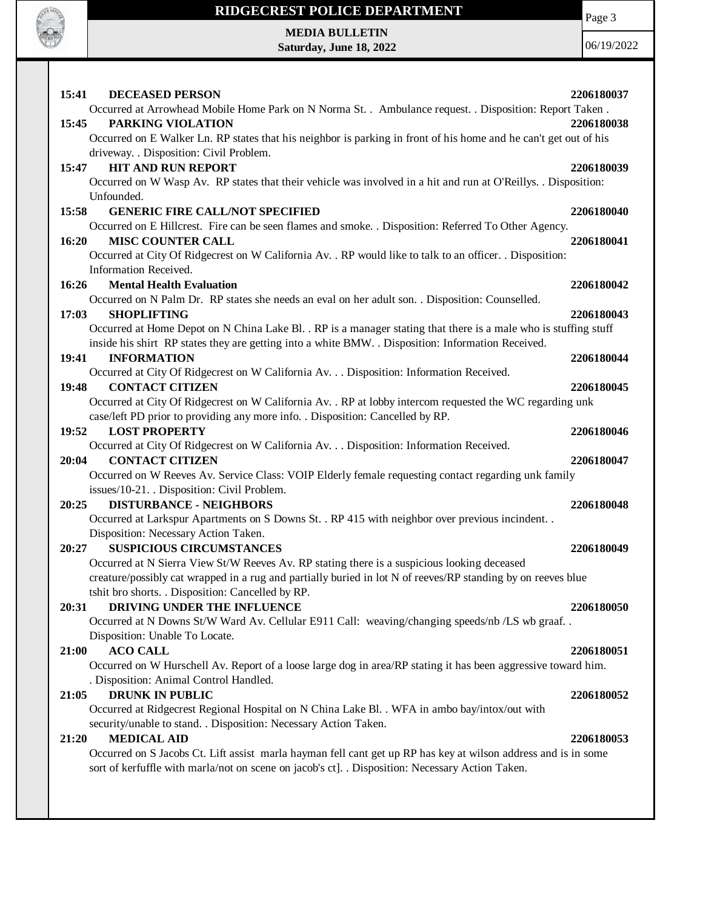

## **RIDGECREST POLICE DEPARTMENT**

Page 3

**MEDIA BULLETIN Saturday, June 18, 2022**

06/19/2022

| <b>DECEASED PERSON</b><br>15:41                                                                                                                                                                             | 2206180037 |
|-------------------------------------------------------------------------------------------------------------------------------------------------------------------------------------------------------------|------------|
| Occurred at Arrowhead Mobile Home Park on N Norma St. . Ambulance request. . Disposition: Report Taken.                                                                                                     |            |
| PARKING VIOLATION<br>15:45                                                                                                                                                                                  | 2206180038 |
| Occurred on E Walker Ln. RP states that his neighbor is parking in front of his home and he can't get out of his                                                                                            |            |
| driveway. . Disposition: Civil Problem.<br><b>HIT AND RUN REPORT</b><br>15:47                                                                                                                               | 2206180039 |
| Occurred on W Wasp Av. RP states that their vehicle was involved in a hit and run at O'Reillys. . Disposition:                                                                                              |            |
| Unfounded.                                                                                                                                                                                                  |            |
| <b>GENERIC FIRE CALL/NOT SPECIFIED</b><br>15:58                                                                                                                                                             | 2206180040 |
| Occurred on E Hillcrest. Fire can be seen flames and smoke. . Disposition: Referred To Other Agency.                                                                                                        |            |
| 16:20<br><b>MISC COUNTER CALL</b>                                                                                                                                                                           | 2206180041 |
| Occurred at City Of Ridgecrest on W California Av. . RP would like to talk to an officer. . Disposition:                                                                                                    |            |
| Information Received.                                                                                                                                                                                       |            |
| 16:26<br><b>Mental Health Evaluation</b>                                                                                                                                                                    | 2206180042 |
| Occurred on N Palm Dr. RP states she needs an eval on her adult son. . Disposition: Counselled.                                                                                                             |            |
| 17:03<br><b>SHOPLIFTING</b><br>Occurred at Home Depot on N China Lake Bl. . RP is a manager stating that there is a male who is stuffing stuff                                                              | 2206180043 |
| inside his shirt RP states they are getting into a white BMW. . Disposition: Information Received.                                                                                                          |            |
| 19:41<br><b>INFORMATION</b>                                                                                                                                                                                 | 2206180044 |
| Occurred at City Of Ridgecrest on W California Av. Disposition: Information Received.                                                                                                                       |            |
| <b>CONTACT CITIZEN</b><br>19:48                                                                                                                                                                             | 2206180045 |
| Occurred at City Of Ridgecrest on W California Av. . RP at lobby intercom requested the WC regarding unk                                                                                                    |            |
| case/left PD prior to providing any more info. . Disposition: Cancelled by RP.                                                                                                                              |            |
| <b>LOST PROPERTY</b><br>19:52                                                                                                                                                                               | 2206180046 |
| Occurred at City Of Ridgecrest on W California Av. Disposition: Information Received.                                                                                                                       |            |
| <b>CONTACT CITIZEN</b><br>20:04                                                                                                                                                                             | 2206180047 |
| Occurred on W Reeves Av. Service Class: VOIP Elderly female requesting contact regarding unk family                                                                                                         |            |
| issues/10-21. Disposition: Civil Problem.                                                                                                                                                                   |            |
| <b>DISTURBANCE - NEIGHBORS</b><br>20:25                                                                                                                                                                     | 2206180048 |
| Occurred at Larkspur Apartments on S Downs St. . RP 415 with neighbor over previous incindent. .                                                                                                            |            |
| Disposition: Necessary Action Taken.                                                                                                                                                                        |            |
| <b>SUSPICIOUS CIRCUMSTANCES</b><br>20:27                                                                                                                                                                    | 2206180049 |
| Occurred at N Sierra View St/W Reeves Av. RP stating there is a suspicious looking deceased<br>creature/possibly cat wrapped in a rug and partially buried in lot N of reeves/RP standing by on reeves blue |            |
| tshit bro shorts. . Disposition: Cancelled by RP.                                                                                                                                                           |            |
| DRIVING UNDER THE INFLUENCE<br>20:31                                                                                                                                                                        | 2206180050 |
| Occurred at N Downs St/W Ward Av. Cellular E911 Call: weaving/changing speeds/nb /LS wb graaf                                                                                                               |            |
| Disposition: Unable To Locate.                                                                                                                                                                              |            |
| <b>ACO CALL</b><br>21:00                                                                                                                                                                                    | 2206180051 |
| Occurred on W Hurschell Av. Report of a loose large dog in area/RP stating it has been aggressive toward him.                                                                                               |            |
| . Disposition: Animal Control Handled.                                                                                                                                                                      |            |
| <b>DRUNK IN PUBLIC</b><br>21:05                                                                                                                                                                             | 2206180052 |
| Occurred at Ridgecrest Regional Hospital on N China Lake Bl. . WFA in ambo bay/intox/out with                                                                                                               |            |
| security/unable to stand. . Disposition: Necessary Action Taken.<br><b>MEDICAL AID</b><br>21:20                                                                                                             |            |
| Occurred on S Jacobs Ct. Lift assist marla hayman fell cant get up RP has key at wilson address and is in some                                                                                              | 2206180053 |
| sort of kerfuffle with marla/not on scene on jacob's ct]. . Disposition: Necessary Action Taken.                                                                                                            |            |
|                                                                                                                                                                                                             |            |
|                                                                                                                                                                                                             |            |
|                                                                                                                                                                                                             |            |
|                                                                                                                                                                                                             |            |